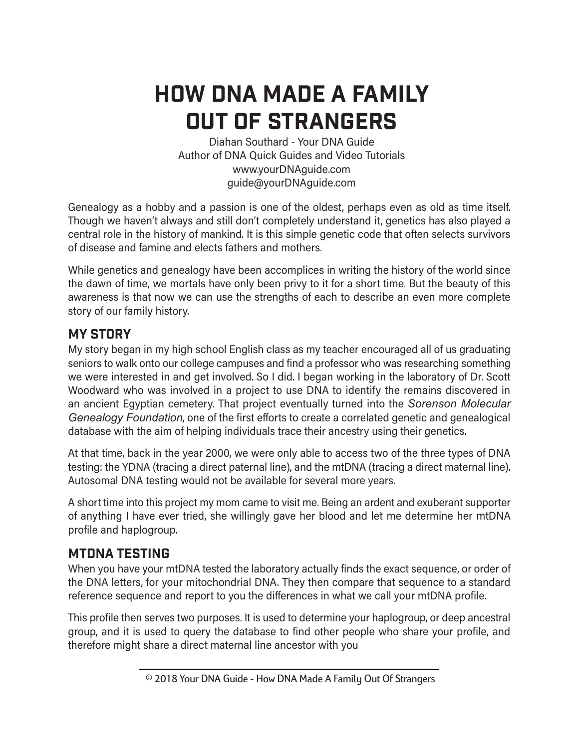# How DNA MAde a family out of strangers

Diahan Southard - Your DNA Guide Author of DNA Quick Guides and Video Tutorials www.yourDNAguide.com guide@yourDNAguide.com

Genealogy as a hobby and a passion is one of the oldest, perhaps even as old as time itself. Though we haven't always and still don't completely understand it, genetics has also played a central role in the history of mankind. It is this simple genetic code that often selects survivors of disease and famine and elects fathers and mothers.

While genetics and genealogy have been accomplices in writing the history of the world since the dawn of time, we mortals have only been privy to it for a short time. But the beauty of this awareness is that now we can use the strengths of each to describe an even more complete story of our family history.

## **MY STORY**

My story began in my high school English class as my teacher encouraged all of us graduating seniors to walk onto our college campuses and find a professor who was researching something we were interested in and get involved. So I did. I began working in the laboratory of Dr. Scott Woodward who was involved in a project to use DNA to identify the remains discovered in an ancient Egyptian cemetery. That project eventually turned into the *Sorenson Molecular Genealogy Foundation*, one of the first efforts to create a correlated genetic and genealogical database with the aim of helping individuals trace their ancestry using their genetics.

At that time, back in the year 2000, we were only able to access two of the three types of DNA testing: the YDNA (tracing a direct paternal line), and the mtDNA (tracing a direct maternal line). Autosomal DNA testing would not be available for several more years.

A short time into this project my mom came to visit me. Being an ardent and exuberant supporter of anything I have ever tried, she willingly gave her blood and let me determine her mtDNA profile and haplogroup.

## mtDNA Testing

When you have your mtDNA tested the laboratory actually finds the exact sequence, or order of the DNA letters, for your mitochondrial DNA. They then compare that sequence to a standard reference sequence and report to you the differences in what we call your mtDNA profile.

This profile then serves two purposes. It is used to determine your haplogroup, or deep ancestral group, and it is used to query the database to find other people who share your profile, and therefore might share a direct maternal line ancestor with you

 <sup>© 2018</sup> Your DNA Guide - How DNA Made A Family Out Of Strangers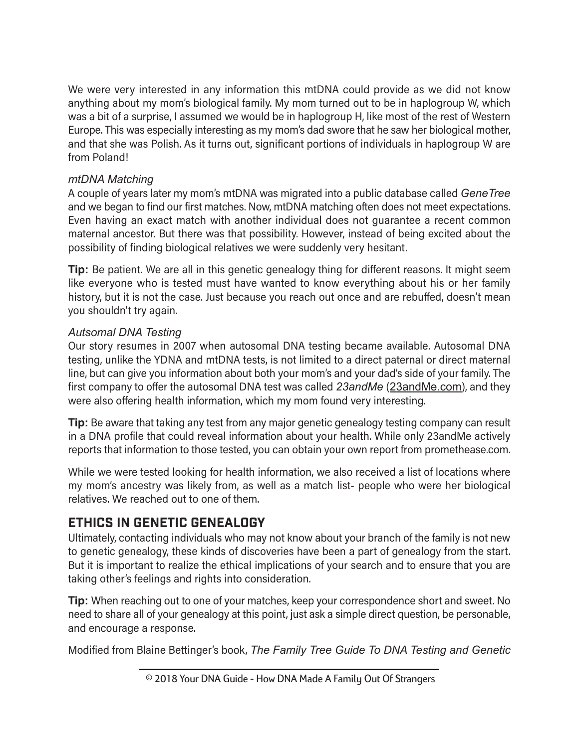We were very interested in any information this mtDNA could provide as we did not know anything about my mom's biological family. My mom turned out to be in haplogroup W, which was a bit of a surprise, I assumed we would be in haplogroup H, like most of the rest of Western Europe. This was especially interesting as my mom's dad swore that he saw her biological mother, and that she was Polish. As it turns out, significant portions of individuals in haplogroup W are from Poland!

#### *mtDNA Matching*

A couple of years later my mom's mtDNA was migrated into a public database called *GeneTree* and we began to find our first matches. Now, mtDNA matching often does not meet expectations. Even having an exact match with another individual does not guarantee a recent common maternal ancestor. But there was that possibility. However, instead of being excited about the possibility of finding biological relatives we were suddenly very hesitant.

**Tip:** Be patient. We are all in this genetic genealogy thing for different reasons. It might seem like everyone who is tested must have wanted to know everything about his or her family history, but it is not the case. Just because you reach out once and are rebuffed, doesn't mean you shouldn't try again.

#### *Autsomal DNA Testing*

Our story resumes in 2007 when autosomal DNA testing became available. Autosomal DNA testing, unlike the YDNA and mtDNA tests, is not limited to a direct paternal or direct maternal line, but can give you information about both your mom's and your dad's side of your family. The first company to offer the autosomal DNA test was called *23andMe* (23andMe.com), and they were also offering health information, which my mom found very interesting.

**Tip:** Be aware that taking any test from any major genetic genealogy testing company can result in a DNA profile that could reveal information about your health. While only 23andMe actively reports that information to those tested, you can obtain your own report from promethease.com.

While we were tested looking for health information, we also received a list of locations where my mom's ancestry was likely from, as well as a match list- people who were her biological relatives. We reached out to one of them.

# Ethics in Genetic Genealogy

Ultimately, contacting individuals who may not know about your branch of the family is not new to genetic genealogy, these kinds of discoveries have been a part of genealogy from the start. But it is important to realize the ethical implications of your search and to ensure that you are taking other's feelings and rights into consideration.

**Tip:** When reaching out to one of your matches, keep your correspondence short and sweet. No need to share all of your genealogy at this point, just ask a simple direct question, be personable, and encourage a response.

Modified from Blaine Bettinger's book, *The Family Tree Guide To DNA Testing and Genetic*